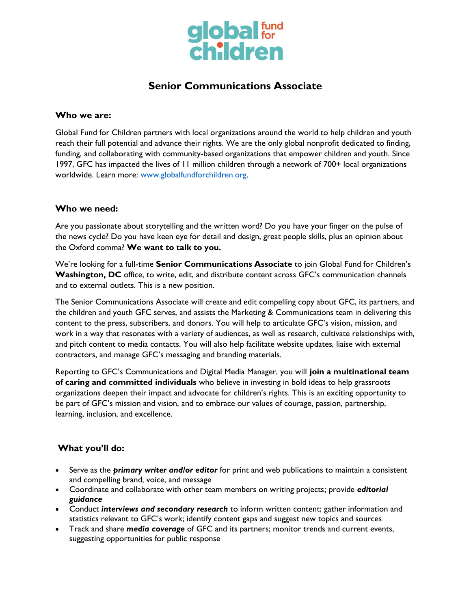

# **Senior Communications Associate**

#### **Who we are:**

Global Fund for Children partners with local organizations around the world to help children and youth reach their full potential and advance their rights. We are the only global nonprofit dedicated to finding, funding, and collaborating with community-based organizations that empower children and youth. Since 1997, GFC has impacted the lives of 11 million children through a network of 700+ local organizations worldwide. Learn more: [www.globalfundforchildren.org.](http://www.globalfundforchildren.org/)

## **Who we need:**

Are you passionate about storytelling and the written word? Do you have your finger on the pulse of the news cycle? Do you have keen eye for detail and design, great people skills, plus an opinion about the Oxford comma? **We want to talk to you.**

We're looking for a full-time **Senior Communications Associate** to join Global Fund for Children's **Washington, DC** office, to write, edit, and distribute content across GFC's communication channels and to external outlets. This is a new position.

The Senior Communications Associate will create and edit compelling copy about GFC, its partners, and the children and youth GFC serves, and assists the Marketing & Communications team in delivering this content to the press, subscribers, and donors. You will help to articulate GFC's vision, mission, and work in a way that resonates with a variety of audiences, as well as research, cultivate relationships with, and pitch content to media contacts. You will also help facilitate website updates, liaise with external contractors, and manage GFC's messaging and branding materials.

Reporting to GFC's Communications and Digital Media Manager, you will **join a multinational team of caring and committed individuals** who believe in investing in bold ideas to help grassroots organizations deepen their impact and advocate for children's rights. This is an exciting opportunity to be part of GFC's mission and vision, and to embrace our values of courage, passion, partnership, learning, inclusion, and excellence.

# **What you'll do:**

- Serve as the *primary writer and/or editor* for print and web publications to maintain a consistent and compelling brand, voice, and message
- Coordinate and collaborate with other team members on writing projects; provide *editorial guidance*
- Conduct *interviews and secondary research* to inform written content; gather information and statistics relevant to GFC's work; identify content gaps and suggest new topics and sources
- Track and share *media coverage* of GFC and its partners; monitor trends and current events, suggesting opportunities for public response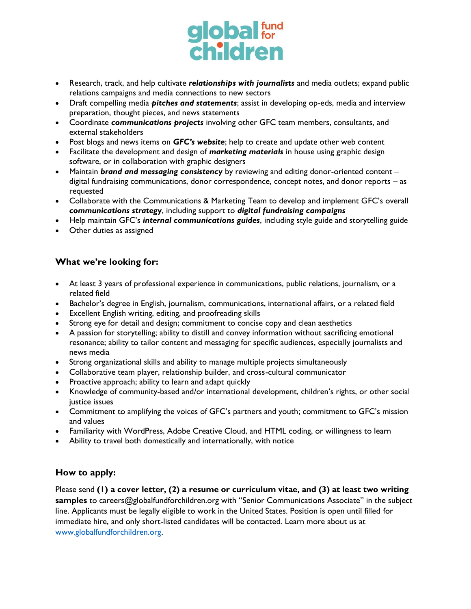

- Research, track, and help cultivate *relationships with journalists* and media outlets; expand public relations campaigns and media connections to new sectors
- Draft compelling media *pitches and statements*; assist in developing op-eds, media and interview preparation, thought pieces, and news statements
- Coordinate *communications projects* involving other GFC team members, consultants, and external stakeholders
- Post blogs and news items on *GFC's website*; help to create and update other web content
- Facilitate the development and design of *marketing materials* in house using graphic design software, or in collaboration with graphic designers
- Maintain *brand and messaging consistency* by reviewing and editing donor-oriented content digital fundraising communications, donor correspondence, concept notes, and donor reports – as requested
- Collaborate with the Communications & Marketing Team to develop and implement GFC's overall *communications strategy*, including support to *digital fundraising campaigns*
- Help maintain GFC's *internal communications guides*, including style guide and storytelling guide
- Other duties as assigned

# **What we're looking for:**

- At least 3 years of professional experience in communications, public relations, journalism, or a related field
- Bachelor's degree in English, journalism, communications, international affairs, or a related field
- Excellent English writing, editing, and proofreading skills
- Strong eye for detail and design; commitment to concise copy and clean aesthetics
- A passion for storytelling; ability to distill and convey information without sacrificing emotional resonance; ability to tailor content and messaging for specific audiences, especially journalists and news media
- Strong organizational skills and ability to manage multiple projects simultaneously
- Collaborative team player, relationship builder, and cross-cultural communicator
- Proactive approach; ability to learn and adapt quickly
- Knowledge of community-based and/or international development, children's rights, or other social justice issues
- Commitment to amplifying the voices of GFC's partners and youth; commitment to GFC's mission and values
- Familiarity with WordPress, Adobe Creative Cloud, and HTML coding, or willingness to learn
- Ability to travel both domestically and internationally, with notice

## **How to apply:**

Please send **(1) a cover letter, (2) a resume or curriculum vitae, and (3) at least two writing**  samples to careers@globalfundforchildren.org with "Senior Communications Associate" in the subject line. Applicants must be legally eligible to work in the United States. Position is open until filled for immediate hire, and only short-listed candidates will be contacted. Learn more about us at [www.globalfundforchildren.org.](http://www.globalfundforchildren.org/)